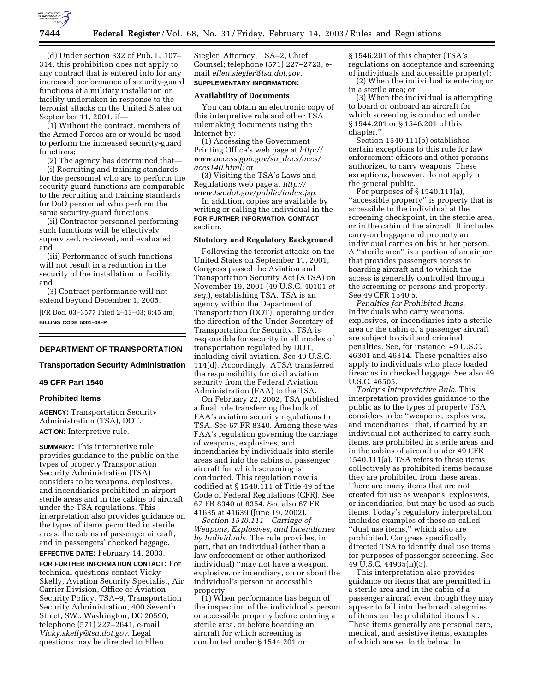

(d) Under section 332 of Pub. L. 107– 314, this prohibition does not apply to any contract that is entered into for any increased performance of security-guard functions at a military installation or facility undertaken in response to the terrorist attacks on the United States on September 11, 2001, if—

(1) Without the contract, members of the Armed Forces are or would be used to perform the increased security-guard functions;

(2) The agency has determined that—

(i) Recruiting and training standards for the personnel who are to perform the security-guard functions are comparable to the recruiting and training standards for DoD personnel who perform the same security-guard functions;

(ii) Contractor personnel performing such functions will be effectively supervised, reviewed, and evaluated; and

(iii) Performance of such functions will not result in a reduction in the security of the installation or facility; and

(3) Contract performance will not extend beyond December 1, 2005.

[FR Doc. 03–3577 Filed 2–13–03; 8:45 am] **BILLING CODE 5001–08–P**

# **DEPARTMENT OF TRANSPORTATION**

### **Transportation Security Administration**

# **49 CFR Part 1540**

### **Prohibited Items**

**AGENCY:** Transportation Security Administration (TSA), DOT. **ACTION:** Interpretive rule.

**SUMMARY:** This interpretive rule provides guidance to the public on the types of property Transportation Security Administration (TSA) considers to be weapons, explosives, and incendiaries prohibited in airport sterile areas and in the cabins of aircraft under the TSA regulations. This interpretation also provides guidance on the types of items permitted in sterile areas, the cabins of passenger aircraft, and in passengers' checked baggage.

# **EFFECTIVE DATE:** February 14, 2003.

**FOR FURTHER INFORMATION CONTACT:** For technical questions contact Vicky Skelly, Aviation Security Specialist, Air Carrier Division, Office of Aviation Security Policy, TSA–9, Transportation Security Administration, 400 Seventh Street, SW., Washington, DC 20590; telephone (571) 227–2641, e-mail *Vicky.skelly@tsa.dot.gov*. Legal questions may be directed to Ellen

Siegler, Attorney, TSA–2, Chief Counsel; telephone (571) 227–2723, email *ellen.siegler@tsa.dot.gov*. **SUPPLEMENTARY INFORMATION:** 

#### **Availability of Documents**

You can obtain an electronic copy of this interpretive rule and other TSA rulemaking documents using the Internet by:

(1) Accessing the Government Printing Office's web page at *http:// www.access.gpo.gov/su*\_*docs/aces/ aces140.html*; or

(3) Visiting the TSA's Laws and Regulations web page at *http:// www.tsa.dot.gov/public/index.jsp*.

In addition, copies are available by writing or calling the individual in the **FOR FURTHER INFORMATION CONTACT** section.

# **Statutory and Regulatory Background**

Following the terrorist attacks on the United States on September 11, 2001, Congress passed the Aviation and Transportation Security Act (ATSA) on November 19, 2001 (49 U.S.C. 40101 *et seq.*), establishing TSA. TSA is an agency within the Department of Transportation (DOT), operating under the direction of the Under Secretary of Transportation for Security. TSA is responsible for security in all modes of transportation regulated by DOT, including civil aviation. See 49 U.S.C. 114(d). Accordingly, ATSA transferred the responsibility for civil aviation security from the Federal Aviation Administration (FAA) to the TSA.

On February 22, 2002, TSA published a final rule transferring the bulk of FAA's aviation security regulations to TSA. See 67 FR 8340. Among these was FAA's regulation governing the carriage of weapons, explosives, and incendiaries by individuals into sterile areas and into the cabins of passenger aircraft for which screening is conducted. This regulation now is codified at § 1540.111 of Title 49 of the Code of Federal Regulations (CFR). See 67 FR 8340 at 8354. See also 67 FR 41635 at 41639 (June 19, 2002).

*Section 1540.111 Carriage of Weapons, Explosives, and Incendiaries by Individuals.* The rule provides, in part, that an individual (other than a law enforcement or other authorized individual) ''may not have a weapon, explosive, or incendiary, on or about the individual's person or accessible property—

(1) When performance has begun of the inspection of the individual's person or accessible property before entering a sterile area, or before boarding an aircraft for which screening is conducted under § 1544.201 or

§ 1546.201 of this chapter (TSA's regulations on acceptance and screening of individuals and accessible property);

(2) When the individual is entering or in a sterile area; or

(3) When the individual is attempting to board or onboard an aircraft for which screening is conducted under § 1544.201 or § 1546.201 of this chapter.''

Section 1540.111(b) establishes certain exceptions to this rule for law enforcement officers and other persons authorized to carry weapons. These exceptions, however, do not apply to the general public.

For purposes of § 1540.111(a), ''accessible property'' is property that is accessible to the individual at the screening checkpoint, in the sterile area, or in the cabin of the aircraft. It includes carry-on baggage and property an individual carries on his or her person. A ''sterile area'' is a portion of an airport that provides passengers access to boarding aircraft and to which the access is generally controlled through the screening or persons and property. See 49 CFR 1540.5.

*Penalties for Prohibited Items.* Individuals who carry weapons, explosives, or incendiaries into a sterile area or the cabin of a passenger aircraft are subject to civil and criminal penalties. See, for instance, 49 U.S.C. 46301 and 46314. These penalties also apply to individuals who place loaded firearms in checked baggage. See also 49 U.S.C. 46505.

*Today's Interpretative Rule.* This interpretation provides guidance to the public as to the types of property TSA considers to be ''weapons, explosives, and incendiaries'' that, if carried by an individual not authorized to carry such items, are prohibited in sterile areas and in the cabins of aircraft under 49 CFR 1540.111(a). TSA refers to these items collectively as prohibited items because they are prohibited from these areas. There are many items that are not created for use as weapons, explosives, or incendiaries, but may be used as such items. Today's regulatory interpretation includes examples of these so-called ''dual use items,'' which also are prohibited. Congress specifically directed TSA to identify dual use items for purposes of passenger screening. See 49 U.S.C. 44935(h)(3).

This interpretation also provides guidance on items that are permitted in a sterile area and in the cabin of a passenger aircraft even though they may appear to fall into the broad categories of items on the prohibited items list. These items generally are personal care, medical, and assistive items, examples of which are set forth below. In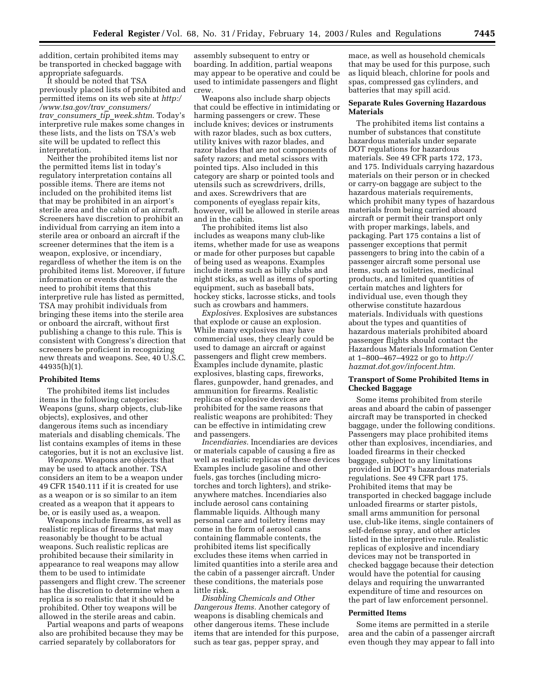addition, certain prohibited items may be transported in checked baggage with appropriate safeguards.

It should be noted that TSA previously placed lists of prohibited and permitted items on its web site at *http:/ /www.tsa.gov/trav*\_*consumers/ trav*\_*consumers*\_*tip*\_*week.shtm*. Today's interpretive rule makes some changes in these lists, and the lists on TSA's web site will be updated to reflect this interpretation.

Neither the prohibited items list nor the permitted items list in today's regulatory interpretation contains all possible items. There are items not included on the prohibited items list that may be prohibited in an airport's sterile area and the cabin of an aircraft. Screeners have discretion to prohibit an individual from carrying an item into a sterile area or onboard an aircraft if the screener determines that the item is a weapon, explosive, or incendiary, regardless of whether the item is on the prohibited items list. Moreover, if future information or events demonstrate the need to prohibit items that this interpretive rule has listed as permitted, TSA may prohibit individuals from bringing these items into the sterile area or onboard the aircraft, without first publishing a change to this rule. This is consistent with Congress's direction that screeners be proficient in recognizing new threats and weapons. See, 40 U.S.C. 44935(h)(1).

#### **Prohibited Items**

The prohibited items list includes items in the following categories: Weapons (guns, sharp objects, club-like objects), explosives, and other dangerous items such as incendiary materials and disabling chemicals. The list contains examples of items in these categories, but it is not an exclusive list.

*Weapons.* Weapons are objects that may be used to attack another. TSA considers an item to be a weapon under 49 CFR 1540.111 if it is created for use as a weapon or is so similar to an item created as a weapon that it appears to be, or is easily used as, a weapon.

Weapons include firearms, as well as realistic replicas of firearms that may reasonably be thought to be actual weapons. Such realistic replicas are prohibited because their similarity in appearance to real weapons may allow them to be used to intimidate passengers and flight crew. The screener has the discretion to determine when a replica is so realistic that it should be prohibited. Other toy weapons will be allowed in the sterile areas and cabin.

Partial weapons and parts of weapons also are prohibited because they may be carried separately by collaborators for

assembly subsequent to entry or boarding. In addition, partial weapons may appear to be operative and could be used to intimidate passengers and flight crew.

Weapons also include sharp objects that could be effective in intimidating or harming passengers or crew. These include knives; devices or instruments with razor blades, such as box cutters, utility knives with razor blades, and razor blades that are not components of safety razors; and metal scissors with pointed tips. Also included in this category are sharp or pointed tools and utensils such as screwdrivers, drills, and axes. Screwdrivers that are components of eyeglass repair kits, however, will be allowed in sterile areas and in the cabin.

The prohibited items list also includes as weapons many club-like items, whether made for use as weapons or made for other purposes but capable of being used as weapons. Examples include items such as billy clubs and night sticks, as well as items of sporting equipment, such as baseball bats, hockey sticks, lacrosse sticks, and tools such as crowbars and hammers.

*Explosives.* Explosives are substances that explode or cause an explosion. While many explosives may have commercial uses, they clearly could be used to damage an aircraft or against passengers and flight crew members. Examples include dynamite, plastic explosives, blasting caps, fireworks, flares, gunpowder, hand grenades, and ammunition for firearms. Realistic replicas of explosive devices are prohibited for the same reasons that realistic weapons are prohibited: They can be effective in intimidating crew and passengers.

*Incendiaries.* Incendiaries are devices or materials capable of causing a fire as well as realistic replicas of these devices Examples include gasoline and other fuels, gas torches (including microtorches and torch lighters), and strikeanywhere matches. Incendiaries also include aerosol cans containing flammable liquids. Although many personal care and toiletry items may come in the form of aerosol cans containing flammable contents, the prohibited items list specifically excludes these items when carried in limited quantities into a sterile area and the cabin of a passenger aircraft. Under these conditions, the materials pose little risk.

*Disabling Chemicals and Other Dangerous Items.* Another category of weapons is disabling chemicals and other dangerous items. These include items that are intended for this purpose, such as tear gas, pepper spray, and

mace, as well as household chemicals that may be used for this purpose, such as liquid bleach, chlorine for pools and spas, compressed gas cylinders, and batteries that may spill acid.

## **Separate Rules Governing Hazardous Materials**

The prohibited items list contains a number of substances that constitute hazardous materials under separate DOT regulations for hazardous materials. See 49 CFR parts 172, 173, and 175. Individuals carrying hazardous materials on their person or in checked or carry-on baggage are subject to the hazardous materials requirements, which prohibit many types of hazardous materials from being carried aboard aircraft or permit their transport only with proper markings, labels, and packaging. Part 175 contains a list of passenger exceptions that permit passengers to bring into the cabin of a passenger aircraft some personal use items, such as toiletries, medicinal products, and limited quantities of certain matches and lighters for individual use, even though they otherwise constitute hazardous materials. Individuals with questions about the types and quantities of hazardous materials prohibited aboard passenger flights should contact the Hazardous Materials Information Center at 1–800–467–4922 or go to *http:// hazmat.dot.gov/infocent.htm*.

## **Transport of Some Prohibited Items in Checked Baggage**

Some items prohibited from sterile areas and aboard the cabin of passenger aircraft may be transported in checked baggage, under the following conditions. Passengers may place prohibited items other than explosives, incendiaries, and loaded firearms in their checked baggage, subject to any limitations provided in DOT's hazardous materials regulations. See 49 CFR part 175. Prohibited items that may be transported in checked baggage include unloaded firearms or starter pistols, small arms ammunition for personal use, club-like items, single containers of self-defense spray, and other articles listed in the interpretive rule. Realistic replicas of explosive and incendiary devices may not be transported in checked baggage because their detection would have the potential for causing delays and requiring the unwarranted expenditure of time and resources on the part of law enforcement personnel.

#### **Permitted Items**

Some items are permitted in a sterile area and the cabin of a passenger aircraft even though they may appear to fall into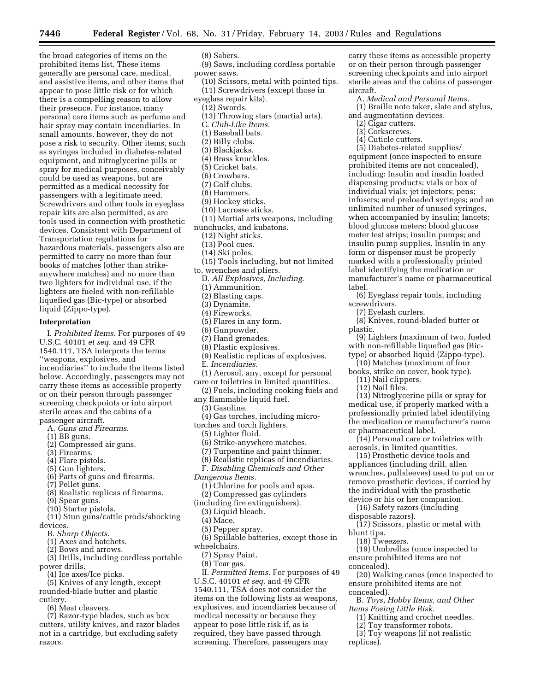the broad categories of items on the prohibited items list. These items generally are personal care, medical, and assistive items, and other items that appear to pose little risk or for which there is a compelling reason to allow their presence. For instance, many personal care items such as perfume and hair spray may contain incendiaries. In small amounts, however, they do not pose a risk to security. Other items, such as syringes included in diabetes-related equipment, and nitroglycerine pills or spray for medical purposes, conceivably could be used as weapons, but are permitted as a medical necessity for passengers with a legitimate need. Screwdrivers and other tools in eyeglass repair kits are also permitted, as are tools used in connection with prosthetic devices. Consistent with Department of Transportation regulations for hazardous materials, passengers also are permitted to carry no more than four books of matches (other than strikeanywhere matches) and no more than two lighters for individual use, if the lighters are fueled with non-refillable liquefied gas (Bic-type) or absorbed liquid (Zippo-type).

## **Interpretation**

I. *Prohibited Items.* For purposes of 49 U.S.C. 40101 *et seq.* and 49 CFR 1540.111, TSA interprets the terms ''weapons, explosives, and incendiaries'' to include the items listed below. Accordingly, passengers may not carry these items as accessible property or on their person through passenger screening checkpoints or into airport sterile areas and the cabins of a passenger aircraft.

- A. *Guns and Firearms.*
- (1) BB guns.
- (2) Compressed air guns.
- (3) Firearms.
- (4) Flare pistols.
- (5) Gun lighters.
- (6) Parts of guns and firearms.
- (7) Pellet guns.
- (8) Realistic replicas of firearms.
- (9) Spear guns.
- (10) Starter pistols.
- (11) Stun guns/cattle prods/shocking devices.
- B. *Sharp Objects.*
	- (1) Axes and hatchets.
	- (2) Bows and arrows.
- (3) Drills, including cordless portable power drills.
	- (4) Ice axes/Ice picks.
- (5) Knives of any length, except rounded-blade butter and plastic cutlery.
	- (6) Meat cleavers.

(7) Razor-type blades, such as box cutters, utility knives, and razor blades not in a cartridge, but excluding safety razors.

(8) Sabers.

- (9) Saws, including cordless portable power saws.
- (10) Scissors, metal with pointed tips. (11) Screwdrivers (except those in
- eyeglass repair kits).
- (12) Swords.
- (13) Throwing stars (martial arts).
- C. *Club-Like Items.*
- (1) Baseball bats.
- (2) Billy clubs.
- (3) Blackjacks.
- (4) Brass knuckles.
- (5) Cricket bats.
- (6) Crowbars.
- (7) Golf clubs.
- (8) Hammers.
- (9) Hockey sticks.
- (10) Lacrosse sticks.
- (11) Martial arts weapons, including nunchucks, and kubatons.
	- (12) Night sticks.
	- (13) Pool cues.
	- (14) Ski poles.
- (15) Tools including, but not limited to, wrenches and pliers.
- D. *All Explosives, Including.*
- (1) Ammunition.
- (2) Blasting caps.
- (3) Dynamite.
- (4) Fireworks.
- (5) Flares in any form.
- (6) Gunpowder.
- (7) Hand grenades.
- (8) Plastic explosives.
- (9) Realistic replicas of explosives.
- E. *Incendiaries.*
- (1) Aerosol, any, except for personal
- care or toiletries in limited quantities. (2) Fuels, including cooking fuels and
- any flammable liquid fuel.
	- (3) Gasoline.
- (4) Gas torches, including micro-
- torches and torch lighters.
	- (5) Lighter fluid.
	- (6) Strike-anywhere matches.
	- (7) Turpentine and paint thinner.
	- (8) Realistic replicas of incendiaries.
	- F. *Disabling Chemicals and Other*
- *Dangerous Items.*
	- (1) Chlorine for pools and spas.
	- (2) Compressed gas cylinders
- (including fire extinguishers).
- (3) Liquid bleach.
- (4) Mace.
- (5) Pepper spray.
- (6) Spillable batteries, except those in wheelchairs.
- (7) Spray Paint.
- (8) Tear gas.

II. *Permitted Items.* For purposes of 49 U.S.C. 40101 *et seq*. and 49 CFR 1540.111, TSA does not consider the items on the following lists as weapons, explosives, and incendiaries because of medical necessity or because they appear to pose little risk if, as is required, they have passed through screening. Therefore, passengers may

carry these items as accessible property or on their person through passenger screening checkpoints and into airport sterile areas and the cabins of passenger aircraft.

- A. *Medical and Personal Items.*
- (1) Braille note taker, slate and stylus, and augmentation devices.
	- (2) Cigar cutters.
	- (3) Corkscrews.
	- (4) Cuticle cutters.

(5) Diabetes-related supplies/ equipment (once inspected to ensure prohibited items are not concealed), including: Insulin and insulin loaded dispensing products; vials or box of individual vials; jet injectors; pens; infusers; and preloaded syringes; and an unlimited number of unused syringes, when accompanied by insulin; lancets; blood glucose meters; blood glucose meter test strips; insulin pumps; and insulin pump supplies. Insulin in any form or dispenser must be properly marked with a professionally printed label identifying the medication or manufacturer's name or pharmaceutical label.

(6) Eyeglass repair tools, including screwdrivers.

(7) Eyelash curlers.

(8) Knives, round-bladed butter or plastic.

(9) Lighters (maximum of two, fueled with non-refillable liquefied gas (Bictype) or absorbed liquid (Zippo-type).

- (10) Matches (maximum of four books, strike on cover, book type).
- (11) Nail clippers.
- (12) Nail files.

(13) Nitroglycerine pills or spray for medical use, if properly marked with a professionally printed label identifying the medication or manufacturer's name or pharmaceutical label.

(14) Personal care or toiletries with aerosols, in limited quantities.

(15) Prosthetic device tools and appliances (including drill, allen wrenches, pullsleeves) used to put on or remove prosthetic devices, if carried by the individual with the prosthetic device or his or her companion.

(16) Safety razors (including disposable razors).

ensure prohibited items are not

*Items Posing Little Risk.*

- (17) Scissors, plastic or metal with blunt tips.
	- (18) Tweezers.

concealed).

replicas).

(19) Umbrellas (once inspected to ensure prohibited items are not concealed).

B. *Toys, Hobby Items, and Other* 

(1) Knitting and crochet needles. (2) Toy transformer robots. (3) Toy weapons (if not realistic

(20) Walking canes (once inspected to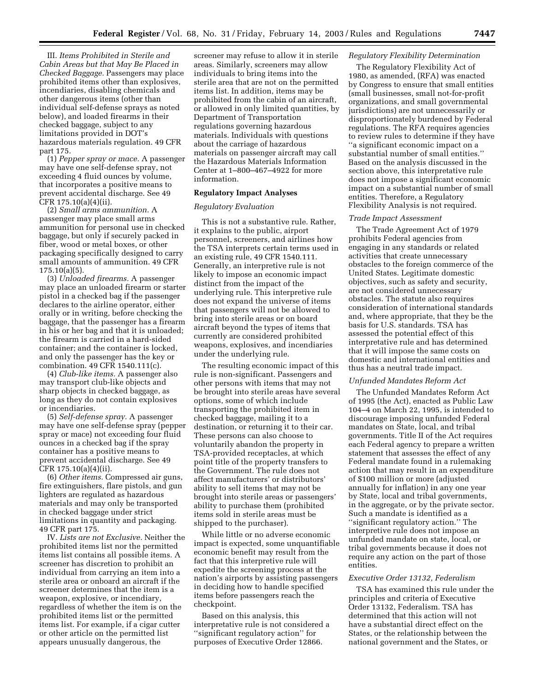III. *Items Prohibited in Sterile and Cabin Areas but that May Be Placed in Checked Baggage.* Passengers may place prohibited items other than explosives, incendiaries, disabling chemicals and other dangerous items (other than individual self-defense sprays as noted below), and loaded firearms in their checked baggage, subject to any limitations provided in DOT's hazardous materials regulation. 49 CFR part 175.

(1) *Pepper spray or mace.* A passenger may have one self-defense spray, not exceeding 4 fluid ounces by volume, that incorporates a positive means to prevent accidental discharge. See 49 CFR 175.10(a)(4)(ii).

(2) *Small arms ammunition.* A passenger may place small arms ammunition for personal use in checked baggage, but only if securely packed in fiber, wood or metal boxes, or other packaging specifically designed to carry small amounts of ammunition. 49 CFR 175.10(a)(5).

(3) *Unloaded firearms.* A passenger may place an unloaded firearm or starter pistol in a checked bag if the passenger declares to the airline operator, either orally or in writing, before checking the baggage, that the passenger has a firearm in his or her bag and that it is unloaded; the firearm is carried in a hard-sided container; and the container is locked, and only the passenger has the key or combination. 49 CFR 1540.111(c).

(4) *Club-like items.* A passenger also may transport club-like objects and sharp objects in checked baggage, as long as they do not contain explosives or incendiaries.

(5) *Self-defense spray.* A passenger may have one self-defense spray (pepper spray or mace) not exceeding four fluid ounces in a checked bag if the spray container has a positive means to prevent accidental discharge. See 49 CFR 175.10(a)(4)(ii).

(6) *Other items.* Compressed air guns, fire extinguishers, flare pistols, and gun lighters are regulated as hazardous materials and may only be transported in checked baggage under strict limitations in quantity and packaging. 49 CFR part 175.

IV. *Lists are not Exclusive.* Neither the prohibited items list nor the permitted items list contains all possible items. A screener has discretion to prohibit an individual from carrying an item into a sterile area or onboard an aircraft if the screener determines that the item is a weapon, explosive, or incendiary, regardless of whether the item is on the prohibited items list or the permitted items list. For example, if a cigar cutter or other article on the permitted list appears unusually dangerous, the

screener may refuse to allow it in sterile areas. Similarly, screeners may allow individuals to bring items into the sterile area that are not on the permitted items list. In addition, items may be prohibited from the cabin of an aircraft, or allowed in only limited quantities, by Department of Transportation regulations governing hazardous materials. Individuals with questions about the carriage of hazardous materials on passenger aircraft may call the Hazardous Materials Information Center at 1–800–467–4922 for more information.

# **Regulatory Impact Analyses**

# *Regulatory Evaluation*

This is not a substantive rule. Rather, it explains to the public, airport personnel, screeners, and airlines how the TSA interprets certain terms used in an existing rule, 49 CFR 1540.111. Generally, an interpretive rule is not likely to impose an economic impact distinct from the impact of the underlying rule. This interpretive rule does not expand the universe of items that passengers will not be allowed to bring into sterile areas or on board aircraft beyond the types of items that currently are considered prohibited weapons, explosives, and incendiaries under the underlying rule.

The resulting economic impact of this rule is non-significant. Passengers and other persons with items that may not be brought into sterile areas have several options, some of which include transporting the prohibited item in checked baggage, mailing it to a destination, or returning it to their car. These persons can also choose to voluntarily abandon the property in TSA-provided receptacles, at which point title of the property transfers to the Government. The rule does not affect manufacturers' or distributors' ability to sell items that may not be brought into sterile areas or passengers' ability to purchase them (prohibited items sold in sterile areas must be shipped to the purchaser).

While little or no adverse economic impact is expected, some unquantifiable economic benefit may result from the fact that this interpretive rule will expedite the screening process at the nation's airports by assisting passengers in deciding how to handle specified items before passengers reach the checkpoint.

Based on this analysis, this interpretative rule is not considered a ''significant regulatory action'' for purposes of Executive Order 12866.

## *Regulatory Flexibility Determination*

The Regulatory Flexibility Act of 1980, as amended, (RFA) was enacted by Congress to ensure that small entities (small businesses, small not-for-profit organizations, and small governmental jurisdictions) are not unnecessarily or disproportionately burdened by Federal regulations. The RFA requires agencies to review rules to determine if they have ''a significant economic impact on a substantial number of small entities.'' Based on the analysis discussed in the section above, this interpretative rule does not impose a significant economic impact on a substantial number of small entities. Therefore, a Regulatory Flexibility Analysis is not required.

#### *Trade Impact Assessment*

The Trade Agreement Act of 1979 prohibits Federal agencies from engaging in any standards or related activities that create unnecessary obstacles to the foreign commerce of the United States. Legitimate domestic objectives, such as safety and security, are not considered unnecessary obstacles. The statute also requires consideration of international standards and, where appropriate, that they be the basis for U.S. standards. TSA has assessed the potential effect of this interpretative rule and has determined that it will impose the same costs on domestic and international entities and thus has a neutral trade impact.

#### *Unfunded Mandates Reform Act*

The Unfunded Mandates Reform Act of 1995 (the Act), enacted as Public Law 104–4 on March 22, 1995, is intended to discourage imposing unfunded Federal mandates on State, local, and tribal governments. Title II of the Act requires each Federal agency to prepare a written statement that assesses the effect of any Federal mandate found in a rulemaking action that may result in an expenditure of \$100 million or more (adjusted annually for inflation) in any one year by State, local and tribal governments, in the aggregate, or by the private sector. Such a mandate is identified as a ''significant regulatory action.'' The interpretive rule does not impose an unfunded mandate on state, local, or tribal governments because it does not require any action on the part of those entities.

# *Executive Order 13132, Federalism*

TSA has examined this rule under the principles and criteria of Executive Order 13132, Federalism. TSA has determined that this action will not have a substantial direct effect on the States, or the relationship between the national government and the States, or